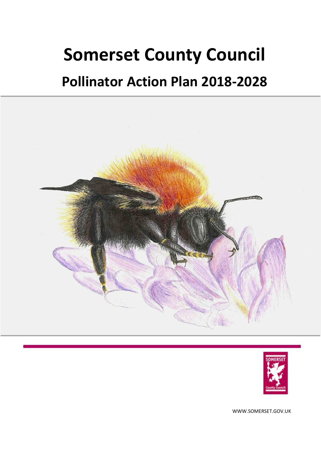# **Somerset County Council**

## **Pollinator Action Plan 2018-2028**





WWW.SOMERSET.GOV.UK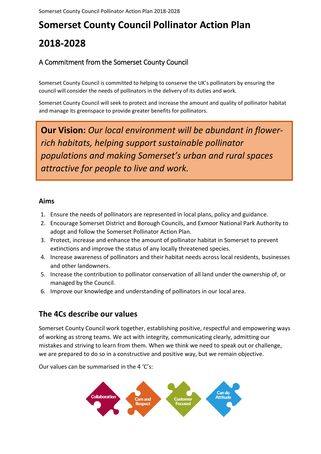## A Commitment from the Somerset County Council

Somerset County Council is committed to helping to conserve the UK's pollinators by ensuring the council will consider the needs of pollinators in the delivery of its duties and work.

Somerset County Council will seek to protect and increase the amount and quality of pollinator habitat and manage its greenspace to provide greater benefits for pollinators.

**Our Vision:** *Our local environment will be abundant in flowerrich habitats, helping support sustainable pollinator populations and making Somerset's urban and rural spaces attractive for people to live and work.*

#### **Aims**

- 1. Ensure the needs of pollinators are represented in local plans, policy and guidance.
- 2. Encourage Somerset District and Borough Councils, and Exmoor National Park Authority to adopt and follow the Somerset Pollinator Action Plan.
- 3. Protect, increase and enhance the amount of pollinator habitat in Somerset to prevent extinctions and improve the status of any locally threatened species.
- 4. Increase awareness of pollinators and their habitat needs across local residents, businesses and other landowners.
- 5. Increase the contribution to pollinator conservation of all land under the ownership of, or managed by the Council.
- 6. Improve our knowledge and understanding of pollinators in our local area.

## **The 4Cs describe our values**

Somerset County Council work together, establishing positive, respectful and empowering ways of working as strong teams. We act with integrity, communicating clearly, admitting our mistakes and striving to learn from them. When we think we need to speak out or challenge, we are prepared to do so in a constructive and positive way, but we remain objective.

Our values can be summarised in the 4 'C's:

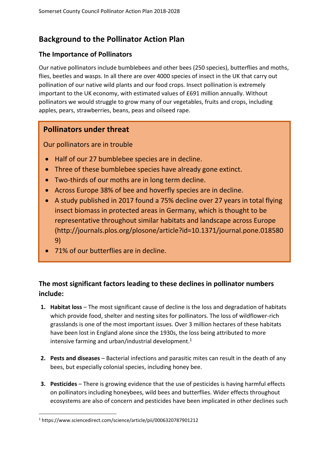## **Background to the Pollinator Action Plan**

## **The Importance of Pollinators**

Our native pollinators include bumblebees and other bees (250 species), butterflies and moths, flies, beetles and wasps. In all there are over 4000 species of insect in the UK that carry out pollination of our native wild plants and our food crops. Insect pollination is extremely important to the UK economy, with estimated values of £691 million annually. Without pollinators we would struggle to grow many of our vegetables, fruits and crops, including apples, pears, strawberries, beans, peas and oilseed rape.

## **Pollinators under threat**

Our pollinators are in trouble

- Half of our 27 bumblebee species are in decline.
- Three of these bumblebee species have already gone extinct.
- Two-thirds of our moths are in long term decline.
- Across Europe 38% of bee and hoverfly species are in decline.
- A study published in 2017 found a 75% decline over 27 years in total flying insect biomass in protected areas in Germany, which is thought to be representative throughout similar habitats and landscape across Europe (http://journals.plos.org/plosone/article?id=10.1371/journal.pone.018580 9)
- 71% of our butterflies are in decline.

## **The most significant factors leading to these declines in pollinator numbers include:**

- **1. Habitat loss** The most significant cause of decline is the loss and degradation of habitats which provide food, shelter and nesting sites for pollinators. The loss of wildflower-rich grasslands is one of the most important issues. Over 3 million hectares of these habitats have been lost in England alone since the 1930s, the loss being attributed to more intensive farming and urban/industrial development.<sup>1</sup>
- **2. Pests and diseases** Bacterial infections and parasitic mites can result in the death of any bees, but especially colonial species, including honey bee.
- **3. Pesticides** There is growing evidence that the use of pesticides is having harmful effects on pollinators including honeybees, wild bees and butterflies. Wider effects throughout ecosystems are also of concern and pesticides have been implicated in other declines such

**.** 

<sup>1</sup> https://www.sciencedirect.com/science/article/pii/0006320787901212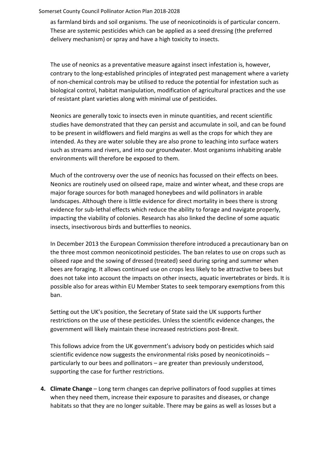as farmland birds and soil organisms. The use of neonicotinoids is of particular concern. These are systemic pesticides which can be applied as a seed dressing (the preferred delivery mechanism) or spray and have a high toxicity to insects.

The use of neonics as a preventative measure against insect infestation is, however, contrary to the long-established principles of integrated pest management where a variety of non-chemical controls may be utilised to reduce the potential for infestation such as biological control, habitat manipulation, modification of agricultural practices and the use of resistant plant varieties along with minimal use of pesticides.

Neonics are generally toxic to insects even in minute quantities, and recent scientific studies have demonstrated that they can persist and accumulate in soil, and can be found to be present in wildflowers and field margins as well as the crops for which they are intended. As they are water soluble they are also prone to leaching into surface waters such as streams and rivers, and into our groundwater. Most organisms inhabiting arable environments will therefore be exposed to them.

Much of the controversy over the use of neonics has focussed on their effects on bees. Neonics are routinely used on oilseed rape, maize and winter wheat, and these crops are major forage sources for both managed honeybees and wild pollinators in arable landscapes. Although there is little evidence for direct mortality in bees there is strong evidence for sub-lethal effects which reduce the ability to forage and navigate properly, impacting the viability of colonies. Research has also linked the decline of some aquatic insects, insectivorous birds and butterflies to neonics.

In December 2013 the European Commission therefore introduced a precautionary ban on the three most common neonicotinoid pesticides. The ban relates to use on crops such as oilseed rape and the sowing of dressed (treated) seed during spring and summer when bees are foraging. It allows continued use on crops less likely to be attractive to bees but does not take into account the impacts on other insects, aquatic invertebrates or birds. It is possible also for areas within EU Member States to seek temporary exemptions from this ban.

Setting out the UK's position, the Secretary of State said the UK supports further restrictions on the use of these pesticides. Unless the scientific evidence changes, the government will likely maintain these increased restrictions post-Brexit.

This follows advice from the UK government's advisory body on pesticides which said scientific evidence now suggests the environmental risks posed by neonicotinoids – particularly to our bees and pollinators – are greater than previously understood, supporting the case for further restrictions.

**4. Climate Change** – Long term changes can deprive pollinators of food supplies at times when they need them, increase their exposure to parasites and diseases, or change habitats so that they are no longer suitable. There may be gains as well as losses but a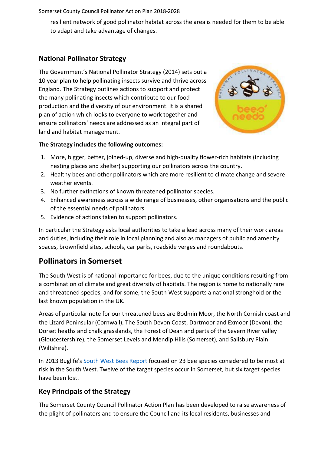resilient network of good pollinator habitat across the area is needed for them to be able to adapt and take advantage of changes.

## **National Pollinator Strategy**

The Government's National Pollinator Strategy (2014) sets out a 10 year plan to help pollinating insects survive and thrive across England. The Strategy outlines actions to support and protect the many pollinating insects which contribute to our food production and the diversity of our environment. It is a shared plan of action which looks to everyone to work together and ensure pollinators' needs are addressed as an integral part of land and habitat management.



#### **The Strategy includes the following outcomes:**

- 1. More, bigger, better, joined-up, diverse and high-quality flower-rich habitats (including nesting places and shelter) supporting our pollinators across the country.
- 2. Healthy bees and other pollinators which are more resilient to climate change and severe weather events.
- 3. No further extinctions of known threatened pollinator species.
- 4. Enhanced awareness across a wide range of businesses, other organisations and the public of the essential needs of pollinators.
- 5. Evidence of actions taken to support pollinators.

In particular the Strategy asks local authorities to take a lead across many of their work areas and duties, including their role in local planning and also as managers of public and amenity spaces, brownfield sites, schools, car parks, roadside verges and roundabouts.

## **Pollinators in Somerset**

The South West is of national importance for bees, due to the unique conditions resulting from a combination of climate and great diversity of habitats. The region is home to nationally rare and threatened species, and for some, the South West supports a national stronghold or the last known population in the UK.

Areas of particular note for our threatened bees are Bodmin Moor, the North Cornish coast and the Lizard Peninsular (Cornwall), The South Devon Coast, Dartmoor and Exmoor (Devon), the Dorset heaths and chalk grasslands, the Forest of Dean and parts of the Severn River valley (Gloucestershire), the Somerset Levels and Mendip Hills (Somerset), and Salisbury Plain (Wiltshire).

In 2013 Buglife's [South West Bees Report](https://www.buglife.org.uk/sites/default/files/South%20west%20bees%20project%20final%20%282%29.pdf) focused on 23 bee species considered to be most at risk in the South West. Twelve of the target species occur in Somerset, but six target species have been lost.

## **Key Principals of the Strategy**

The Somerset County Council Pollinator Action Plan has been developed to raise awareness of the plight of pollinators and to ensure the Council and its local residents, businesses and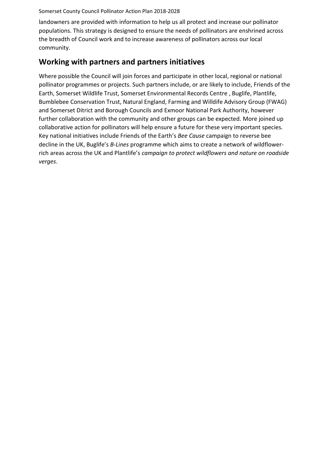landowners are provided with information to help us all protect and increase our pollinator populations. This strategy is designed to ensure the needs of pollinators are enshrined across the breadth of Council work and to increase awareness of pollinators across our local community.

## **Working with partners and partners initiatives**

Where possible the Council will join forces and participate in other local, regional or national pollinator programmes or projects. Such partners include, or are likely to include, Friends of the Earth, Somerset Wildlife Trust, Somerset Environmental Records Centre , Buglife, Plantlife, Bumblebee Conservation Trust, Natural England, Farming and Willdife Advisory Group (FWAG) and Somerset Ditrict and Borough Councils and Exmoor National Park Authority, however further collaboration with the community and other groups can be expected. More joined up collaborative action for pollinators will help ensure a future for these very important species. Key national initiatives include Friends of the Earth's *Bee Cause* campaign to reverse bee decline in the UK, Buglife's *B-Lines* programme which aims to create a network of wildflowerrich areas across the UK and Plantlife's *campaign to protect wildflowers and nature on roadside verges*.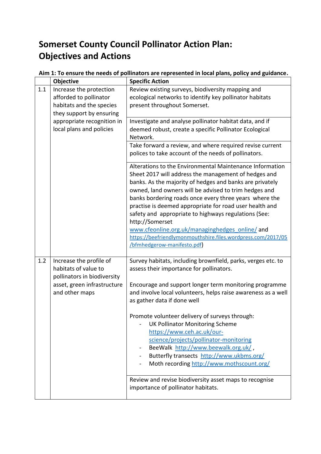## **Somerset County Council Pollinator Action Plan: Objectives and Actions**

| Aim 1: To ensure the needs of pollinators are represented in local plans, policy and guidance. |
|------------------------------------------------------------------------------------------------|
|------------------------------------------------------------------------------------------------|

|     | Objective                                                                                                                       | <b>Specific Action</b>                                                                                                                                                                                                                                                                                                                                                                                                                                                                                                                                                                 |
|-----|---------------------------------------------------------------------------------------------------------------------------------|----------------------------------------------------------------------------------------------------------------------------------------------------------------------------------------------------------------------------------------------------------------------------------------------------------------------------------------------------------------------------------------------------------------------------------------------------------------------------------------------------------------------------------------------------------------------------------------|
| 1.1 | Increase the protection<br>afforded to pollinator<br>habitats and the species<br>they support by ensuring                       | Review existing surveys, biodiversity mapping and<br>ecological networks to identify key pollinator habitats<br>present throughout Somerset.                                                                                                                                                                                                                                                                                                                                                                                                                                           |
|     | appropriate recognition in<br>local plans and policies                                                                          | Investigate and analyse pollinator habitat data, and if<br>deemed robust, create a specific Pollinator Ecological<br>Network.                                                                                                                                                                                                                                                                                                                                                                                                                                                          |
|     |                                                                                                                                 | Take forward a review, and where required revise current<br>polices to take account of the needs of pollinators.                                                                                                                                                                                                                                                                                                                                                                                                                                                                       |
|     |                                                                                                                                 | Alterations to the Environmental Maintenance Information<br>Sheet 2017 will address the management of hedges and<br>banks. As the majority of hedges and banks are privately<br>owned, land owners will be advised to trim hedges and<br>banks bordering roads once every three years where the<br>practise is deemed appropriate for road user health and<br>safety and appropriate to highways regulations (See:<br>http://Somerset<br>www.cfeonline.org.uk/managinghedges_online/and<br>https://beefriendlymonmouthshire.files.wordpress.com/2017/05<br>/bfmhedgerow-manifesto.pdf) |
| 1.2 | Increase the profile of<br>habitats of value to<br>pollinators in biodiversity<br>asset, green infrastructure<br>and other maps | Survey habitats, including brownfield, parks, verges etc. to<br>assess their importance for pollinators.<br>Encourage and support longer term monitoring programme<br>and involve local volunteers, helps raise awareness as a well<br>as gather data if done well<br>Promote volunteer delivery of surveys through:<br><b>UK Pollinator Monitoring Scheme</b><br>https://www.ceh.ac.uk/our-<br>science/projects/pollinator-monitoring<br>BeeWalk http://www.beewalk.org.uk/,<br>Butterfly transects http://www.ukbms.org/<br>Moth recording http://www.mothscount.org/                |
|     |                                                                                                                                 | Review and revise biodiversity asset maps to recognise<br>importance of pollinator habitats.                                                                                                                                                                                                                                                                                                                                                                                                                                                                                           |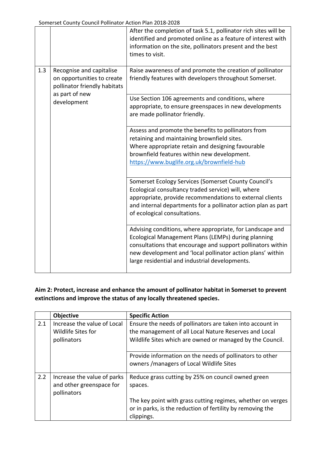|     |                                                                                                          | After the completion of task 5.1, pollinator rich sites will be<br>identified and promoted online as a feature of interest with<br>information on the site, pollinators present and the best<br>times to visit.                                                                                 |
|-----|----------------------------------------------------------------------------------------------------------|-------------------------------------------------------------------------------------------------------------------------------------------------------------------------------------------------------------------------------------------------------------------------------------------------|
| 1.3 | Recognise and capitalise<br>on opportunities to create<br>pollinator friendly habitats<br>as part of new | Raise awareness of and promote the creation of pollinator<br>friendly features with developers throughout Somerset.                                                                                                                                                                             |
|     | development                                                                                              | Use Section 106 agreements and conditions, where<br>appropriate, to ensure greenspaces in new developments<br>are made pollinator friendly.                                                                                                                                                     |
|     |                                                                                                          | Assess and promote the benefits to pollinators from<br>retaining and maintaining brownfield sites.<br>Where appropriate retain and designing favourable<br>brownfield features within new development.<br>https://www.buglife.org.uk/brownfield-hub                                             |
|     |                                                                                                          | Somerset Ecology Services (Somerset County Council's<br>Ecological consultancy traded service) will, where<br>appropriate, provide recommendations to external clients<br>and internal departments for a pollinator action plan as part<br>of ecological consultations.                         |
|     |                                                                                                          | Advising conditions, where appropriate, for Landscape and<br>Ecological Management Plans (LEMPs) during planning<br>consultations that encourage and support pollinators within<br>new development and 'local pollinator action plans' within<br>large residential and industrial developments. |

## **Aim 2: Protect, increase and enhance the amount of pollinator habitat in Somerset to prevent extinctions and improve the status of any locally threatened species.**

|     | Objective                                                              | <b>Specific Action</b>                                                                                                                                                          |
|-----|------------------------------------------------------------------------|---------------------------------------------------------------------------------------------------------------------------------------------------------------------------------|
| 2.1 | Increase the value of Local<br>Wildlife Sites for<br>pollinators       | Ensure the needs of pollinators are taken into account in<br>the management of all Local Nature Reserves and Local<br>Wildlife Sites which are owned or managed by the Council. |
|     |                                                                        | Provide information on the needs of pollinators to other<br>owners / managers of Local Wildlife Sites                                                                           |
| 2.2 | Increase the value of parks<br>and other greenspace for<br>pollinators | Reduce grass cutting by 25% on council owned green<br>spaces.                                                                                                                   |
|     |                                                                        | The key point with grass cutting regimes, whether on verges<br>or in parks, is the reduction of fertility by removing the<br>clippings.                                         |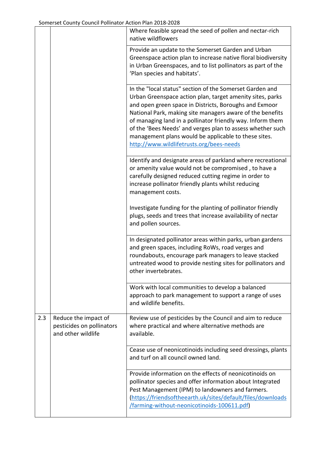|     |                                                                         | Where feasible spread the seed of pollen and nectar-rich<br>native wildflowers                                                                                                                                                                                                                                                                                                                                                                                               |
|-----|-------------------------------------------------------------------------|------------------------------------------------------------------------------------------------------------------------------------------------------------------------------------------------------------------------------------------------------------------------------------------------------------------------------------------------------------------------------------------------------------------------------------------------------------------------------|
|     |                                                                         | Provide an update to the Somerset Garden and Urban<br>Greenspace action plan to increase native floral biodiversity<br>in Urban Greenspaces, and to list pollinators as part of the<br>'Plan species and habitats'.                                                                                                                                                                                                                                                          |
|     |                                                                         | In the "local status" section of the Somerset Garden and<br>Urban Greenspace action plan, target amenity sites, parks<br>and open green space in Districts, Boroughs and Exmoor<br>National Park, making site managers aware of the benefits<br>of managing land in a pollinator friendly way. Inform them<br>of the 'Bees Needs' and verges plan to assess whether such<br>management plans would be applicable to these sites.<br>http://www.wildlifetrusts.org/bees-needs |
|     |                                                                         | Identify and designate areas of parkland where recreational<br>or amenity value would not be compromised, to have a<br>carefully designed reduced cutting regime in order to<br>increase pollinator friendly plants whilst reducing<br>management costs.                                                                                                                                                                                                                     |
|     |                                                                         | Investigate funding for the planting of pollinator friendly<br>plugs, seeds and trees that increase availability of nectar<br>and pollen sources.                                                                                                                                                                                                                                                                                                                            |
|     |                                                                         | In designated pollinator areas within parks, urban gardens<br>and green spaces, including RoWs, road verges and<br>roundabouts, encourage park managers to leave stacked<br>untreated wood to provide nesting sites for pollinators and<br>other invertebrates.                                                                                                                                                                                                              |
|     |                                                                         | Work with local communities to develop a balanced<br>approach to park management to support a range of uses<br>and wildlife benefits.                                                                                                                                                                                                                                                                                                                                        |
| 2.3 | Reduce the impact of<br>pesticides on pollinators<br>and other wildlife | Review use of pesticides by the Council and aim to reduce<br>where practical and where alternative methods are<br>available.                                                                                                                                                                                                                                                                                                                                                 |
|     |                                                                         | Cease use of neonicotinoids including seed dressings, plants<br>and turf on all council owned land.                                                                                                                                                                                                                                                                                                                                                                          |
|     |                                                                         | Provide information on the effects of neonicotinoids on<br>pollinator species and offer information about Integrated<br>Pest Management (IPM) to landowners and farmers.<br>(https://friendsoftheearth.uk/sites/default/files/downloads<br>/farming-without-neonicotinoids-100611.pdf)                                                                                                                                                                                       |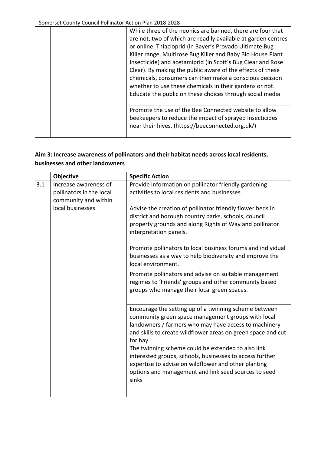| While three of the neonics are banned, there are four that<br>are not, two of which are readily available at garden centres<br>or online. Thiacloprid (in Bayer's Provado Ultimate Bug<br>Killer range, Multirose Bug Killer and Baby Bio House Plant<br>Insecticide) and acetamiprid (in Scott's Bug Clear and Rose<br>Clear). By making the public aware of the effects of these<br>chemicals, consumers can then make a conscious decision<br>whether to use these chemicals in their gardens or not.<br>Educate the public on these choices through social media |
|----------------------------------------------------------------------------------------------------------------------------------------------------------------------------------------------------------------------------------------------------------------------------------------------------------------------------------------------------------------------------------------------------------------------------------------------------------------------------------------------------------------------------------------------------------------------|
| Promote the use of the Bee Connected website to allow<br>beekeepers to reduce the impact of sprayed insecticides<br>near their hives. (https://beeconnected.org.uk/)                                                                                                                                                                                                                                                                                                                                                                                                 |

## **Aim 3: Increase awareness of pollinators and their habitat needs across local residents, businesses and other landowners**

|     | Objective                                                                 | <b>Specific Action</b>                                                                                                                                                                                                                                                                                                                                                                                                                                                                     |
|-----|---------------------------------------------------------------------------|--------------------------------------------------------------------------------------------------------------------------------------------------------------------------------------------------------------------------------------------------------------------------------------------------------------------------------------------------------------------------------------------------------------------------------------------------------------------------------------------|
| 3.1 | Increase awareness of<br>pollinators in the local<br>community and within | Provide information on pollinator friendly gardening<br>activities to local residents and businesses.                                                                                                                                                                                                                                                                                                                                                                                      |
|     | local businesses                                                          | Advise the creation of pollinator friendly flower beds in<br>district and borough country parks, schools, council<br>property grounds and along Rights of Way and pollinator<br>interpretation panels.                                                                                                                                                                                                                                                                                     |
|     |                                                                           | Promote pollinators to local business forums and individual<br>businesses as a way to help biodiversity and improve the<br>local environment.                                                                                                                                                                                                                                                                                                                                              |
|     |                                                                           | Promote pollinators and advise on suitable management<br>regimes to 'Friends' groups and other community based<br>groups who manage their local green spaces.                                                                                                                                                                                                                                                                                                                              |
|     |                                                                           | Encourage the setting up of a twinning scheme between<br>community green space management groups with local<br>landowners / farmers who may have access to machinery<br>and skills to create wildflower areas on green space and cut<br>for hay<br>The twinning scheme could be extended to also link<br>interested groups, schools, businesses to access further<br>expertise to advise on wildflower and other planting<br>options and management and link seed sources to seed<br>sinks |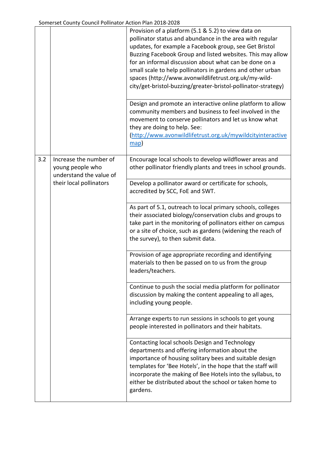|     |                                                                       | Provision of a platform (5.1 & 5.2) to view data on<br>pollinator status and abundance in the area with regular<br>updates, for example a Facebook group, see Get Bristol<br>Buzzing Facebook Group and listed websites. This may allow<br>for an informal discussion about what can be done on a<br>small scale to help pollinators in gardens and other urban<br>spaces (http://www.avonwildlifetrust.org.uk/my-wild-<br>city/get-bristol-buzzing/greater-bristol-pollinator-strategy) |
|-----|-----------------------------------------------------------------------|------------------------------------------------------------------------------------------------------------------------------------------------------------------------------------------------------------------------------------------------------------------------------------------------------------------------------------------------------------------------------------------------------------------------------------------------------------------------------------------|
|     |                                                                       | Design and promote an interactive online platform to allow<br>community members and business to feel involved in the<br>movement to conserve pollinators and let us know what<br>they are doing to help. See:<br>(http://www.avonwildlifetrust.org.uk/mywildcityinteractive<br>$\mathbf{map}$                                                                                                                                                                                            |
| 3.2 | Increase the number of<br>young people who<br>understand the value of | Encourage local schools to develop wildflower areas and<br>other pollinator friendly plants and trees in school grounds.                                                                                                                                                                                                                                                                                                                                                                 |
|     | their local pollinators                                               | Develop a pollinator award or certificate for schools,<br>accredited by SCC, FoE and SWT.                                                                                                                                                                                                                                                                                                                                                                                                |
|     |                                                                       | As part of 5.1, outreach to local primary schools, colleges<br>their associated biology/conservation clubs and groups to<br>take part in the monitoring of pollinators either on campus<br>or a site of choice, such as gardens (widening the reach of<br>the survey), to then submit data.                                                                                                                                                                                              |
|     |                                                                       | Provision of age appropriate recording and identifying<br>materials to then be passed on to us from the group<br>leaders/teachers.                                                                                                                                                                                                                                                                                                                                                       |
|     |                                                                       | Continue to push the social media platform for pollinator<br>discussion by making the content appealing to all ages,<br>including young people.                                                                                                                                                                                                                                                                                                                                          |
|     |                                                                       | Arrange experts to run sessions in schools to get young<br>people interested in pollinators and their habitats.                                                                                                                                                                                                                                                                                                                                                                          |
|     |                                                                       | Contacting local schools Design and Technology<br>departments and offering information about the<br>importance of housing solitary bees and suitable design<br>templates for 'Bee Hotels', in the hope that the staff will<br>incorporate the making of Bee Hotels into the syllabus, to<br>either be distributed about the school or taken home to<br>gardens.                                                                                                                          |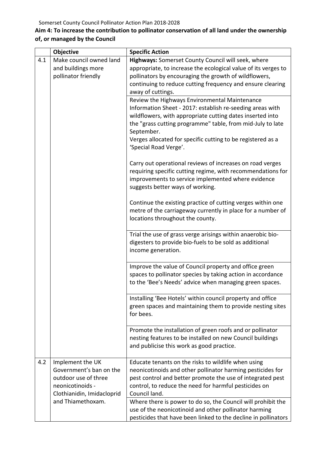## **Aim 4: To increase the contribution to pollinator conservation of all land under the ownership of, or managed by the Council**

|     | Objective                                       | <b>Specific Action</b>                                                                                                |
|-----|-------------------------------------------------|-----------------------------------------------------------------------------------------------------------------------|
| 4.1 | Make council owned land                         | Highways: Somerset County Council will seek, where                                                                    |
|     | and buildings more                              | appropriate, to increase the ecological value of its verges to                                                        |
|     | pollinator friendly                             | pollinators by encouraging the growth of wildflowers,                                                                 |
|     |                                                 | continuing to reduce cutting frequency and ensure clearing                                                            |
|     |                                                 | away of cuttings.                                                                                                     |
|     |                                                 | Review the Highways Environmental Maintenance                                                                         |
|     |                                                 | Information Sheet - 2017: establish re-seeding areas with                                                             |
|     |                                                 | wildflowers, with appropriate cutting dates inserted into                                                             |
|     |                                                 | the "grass cutting programme" table, from mid-July to late                                                            |
|     |                                                 | September.                                                                                                            |
|     |                                                 | Verges allocated for specific cutting to be registered as a                                                           |
|     |                                                 | 'Special Road Verge'.                                                                                                 |
|     |                                                 | Carry out operational reviews of increases on road verges                                                             |
|     |                                                 | requiring specific cutting regime, with recommendations for                                                           |
|     |                                                 | improvements to service implemented where evidence                                                                    |
|     |                                                 | suggests better ways of working.                                                                                      |
|     |                                                 |                                                                                                                       |
|     |                                                 | Continue the existing practice of cutting verges within one                                                           |
|     |                                                 | metre of the carriageway currently in place for a number of                                                           |
|     |                                                 | locations throughout the county.                                                                                      |
|     |                                                 |                                                                                                                       |
|     |                                                 | Trial the use of grass verge arisings within anaerobic bio-                                                           |
|     |                                                 | digesters to provide bio-fuels to be sold as additional                                                               |
|     |                                                 | income generation.                                                                                                    |
|     |                                                 |                                                                                                                       |
|     |                                                 | Improve the value of Council property and office green<br>spaces to pollinator species by taking action in accordance |
|     |                                                 | to the 'Bee's Needs' advice when managing green spaces.                                                               |
|     |                                                 |                                                                                                                       |
|     |                                                 | Installing 'Bee Hotels' within council property and office                                                            |
|     |                                                 | green spaces and maintaining them to provide nesting sites                                                            |
|     |                                                 | for bees.                                                                                                             |
|     |                                                 |                                                                                                                       |
|     |                                                 | Promote the installation of green roofs and or pollinator                                                             |
|     |                                                 | nesting features to be installed on new Council buildings                                                             |
|     |                                                 | and publicise this work as good practice.                                                                             |
|     |                                                 |                                                                                                                       |
| 4.2 | Implement the UK                                | Educate tenants on the risks to wildlife when using                                                                   |
|     | Government's ban on the                         | neonicotinoids and other pollinator harming pesticides for                                                            |
|     | outdoor use of three<br>neonicotinoids -        | pest control and better promote the use of integrated pest                                                            |
|     |                                                 | control, to reduce the need for harmful pesticides on<br>Council land.                                                |
|     | Clothianidin, Imidacloprid<br>and Thiamethoxam. | Where there is power to do so, the Council will prohibit the                                                          |
|     |                                                 | use of the neonicotinoid and other pollinator harming                                                                 |
|     |                                                 | pesticides that have been linked to the decline in pollinators                                                        |
|     |                                                 |                                                                                                                       |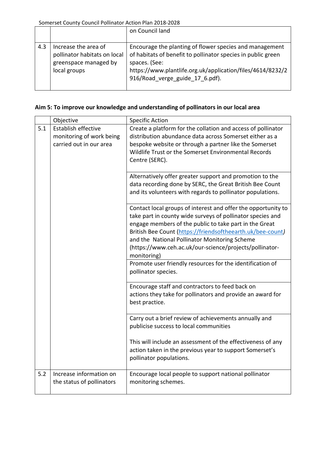|     |                                                                                               | on Council land                                                                                                                                                                                                                           |
|-----|-----------------------------------------------------------------------------------------------|-------------------------------------------------------------------------------------------------------------------------------------------------------------------------------------------------------------------------------------------|
| 4.3 | Increase the area of<br>pollinator habitats on local<br>greenspace managed by<br>local groups | Encourage the planting of flower species and management<br>of habitats of benefit to pollinator species in public green<br>spaces. (See:<br>https://www.plantlife.org.uk/application/files/4614/8232/2<br>916/Road verge guide 17 6.pdf). |

## **Aim 5: To improve our knowledge and understanding of pollinators in our local area**

|     | Objective                                                                  | <b>Specific Action</b>                                                                                                                                                                                                                                                                                                                                                         |
|-----|----------------------------------------------------------------------------|--------------------------------------------------------------------------------------------------------------------------------------------------------------------------------------------------------------------------------------------------------------------------------------------------------------------------------------------------------------------------------|
| 5.1 | Establish effective<br>monitoring of work being<br>carried out in our area | Create a platform for the collation and access of pollinator<br>distribution abundance data across Somerset either as a<br>bespoke website or through a partner like the Somerset<br>Wildlife Trust or the Somerset Environmental Records<br>Centre (SERC).                                                                                                                    |
|     |                                                                            | Alternatively offer greater support and promotion to the<br>data recording done by SERC, the Great British Bee Count<br>and its volunteers with regards to pollinator populations.                                                                                                                                                                                             |
|     |                                                                            | Contact local groups of interest and offer the opportunity to<br>take part in county wide surveys of pollinator species and<br>engage members of the public to take part in the Great<br>British Bee Count (https://friendsoftheearth.uk/bee-count)<br>and the National Pollinator Monitoring Scheme<br>(https://www.ceh.ac.uk/our-science/projects/pollinator-<br>monitoring) |
|     |                                                                            | Promote user friendly resources for the identification of<br>pollinator species.                                                                                                                                                                                                                                                                                               |
|     |                                                                            | Encourage staff and contractors to feed back on<br>actions they take for pollinators and provide an award for<br>best practice.                                                                                                                                                                                                                                                |
|     |                                                                            | Carry out a brief review of achievements annually and<br>publicise success to local communities                                                                                                                                                                                                                                                                                |
|     |                                                                            | This will include an assessment of the effectiveness of any<br>action taken in the previous year to support Somerset's<br>pollinator populations.                                                                                                                                                                                                                              |
| 5.2 | Increase information on<br>the status of pollinators                       | Encourage local people to support national pollinator<br>monitoring schemes.                                                                                                                                                                                                                                                                                                   |